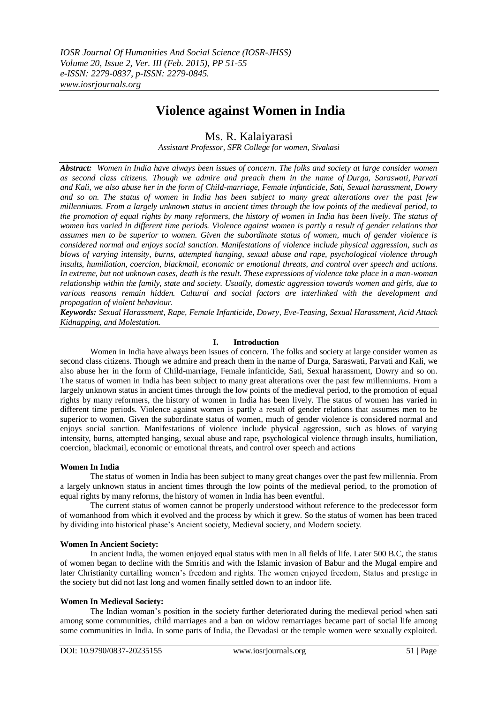# **Violence against Women in India**

## Ms. R. Kalaiyarasi

*Assistant Professor, SFR College for women, Sivakasi*

*Abstract: Women in India have always been issues of concern. The folks and society at large consider women as second class citizens. Though we admire and preach them in the name of Durga, Saraswati, Parvati and Kali, we also abuse her in the form of Child-marriage, Female infanticide, Sati, Sexual harassment, Dowry and so on. The status of women in India has been subject to many great alterations over the past few millenniums. From a largely unknown status in ancient times through the low points of the medieval period, to the promotion of equal rights by many reformers, the history of women in India has been lively. The status of women has varied in different time periods. Violence against women is partly a result of gender relations that assumes men to be superior to women. Given the subordinate status of women, much of gender violence is considered normal and enjoys social sanction. Manifestations of violence include physical aggression, such as blows of varying intensity, burns, attempted hanging, sexual abuse and rape, psychological violence through insults, humiliation, coercion, blackmail, economic or emotional threats, and control over speech and actions. In extreme, but not unknown cases, death is the result. These expressions of violence take place in a man-woman relationship within the family, state and society. Usually, domestic aggression towards women and girls, due to various reasons remain hidden. Cultural and social factors are interlinked with the development and propagation of violent behaviour.*

*Keywords: Sexual Harassment, Rape, Female Infanticide, Dowry, Eve-Teasing, Sexual Harassment, Acid Attack Kidnapping, and Molestation.*

## **I. Introduction**

Women in India have always been issues of concern. The folks and society at large consider women as second class citizens. Though we admire and preach them in the name of Durga, Saraswati, Parvati and Kali, we also abuse her in the form of Child-marriage, Female infanticide, Sati, Sexual harassment, Dowry and so on. The status of women in India has been subject to many great alterations over the past few millenniums. From a largely unknown status in ancient times through the low points of the medieval period, to the promotion of equal rights by many reformers, the history of women in India has been lively. The status of women has varied in different time periods. Violence against women is partly a result of gender relations that assumes men to be superior to women. Given the subordinate status of women, much of gender violence is considered normal and enjoys social sanction. Manifestations of violence include physical aggression, such as blows of varying intensity, burns, attempted hanging, sexual abuse and rape, psychological violence through insults, humiliation, coercion, blackmail, economic or emotional threats, and control over speech and actions

## **Women In India**

The status of women in India has been subject to many great changes over the past few millennia. From a largely unknown status in ancient times through the low points of the medieval period, to the promotion of equal rights by many reforms, the history of women in India has been eventful.

The current status of women cannot be properly understood without reference to the predecessor form of womanhood from which it evolved and the process by which it grew. So the status of women has been traced by dividing into historical phase"s Ancient society, Medieval society, and Modern society.

## **Women In Ancient Society:**

In ancient India, the women enjoyed equal status with men in all fields of life. Later 500 B.C, the status of women began to decline with the Smritis and with the Islamic invasion of Babur and the Mugal empire and later Christianity curtailing women"s freedom and rights. The women enjoyed freedom, Status and prestige in the society but did not last long and women finally settled down to an indoor life.

## **Women In Medieval Society:**

The Indian woman"s position in the society further deteriorated during the medieval period when sati among some communities, child marriages and a ban on widow remarriages became part of social life among some communities in India. In some parts of India, the Devadasi or the temple women were sexually exploited.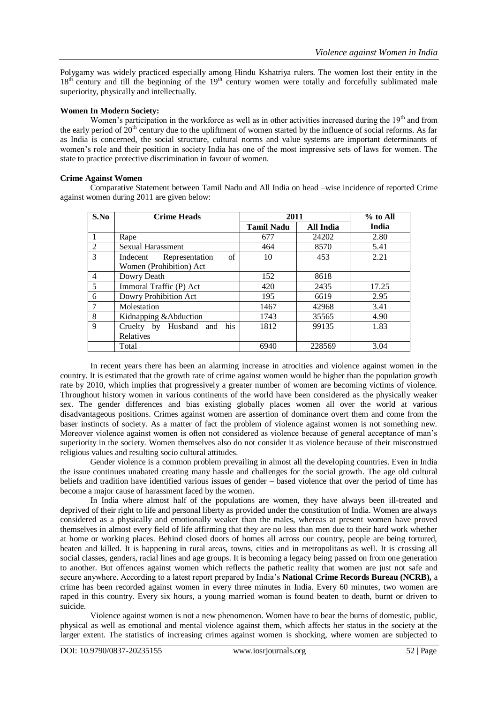Polygamy was widely practiced especially among Hindu Kshatriya rulers. The women lost their entity in the  $18<sup>th</sup>$  century and till the beginning of the  $19<sup>th</sup>$  century women were totally and forcefully sublimated male superiority, physically and intellectually.

## **Women In Modern Society:**

Women's participation in the workforce as well as in other activities increased during the 19<sup>th</sup> and from the early period of  $20<sup>th</sup>$  century due to the upliftment of women started by the influence of social reforms. As far as India is concerned, the social structure, cultural norms and value systems are important determinants of women"s role and their position in society India has one of the most impressive sets of laws for women. The state to practice protective discrimination in favour of women.

## **Crime Against Women**

Comparative Statement between Tamil Nadu and All India on head –wise incidence of reported Crime against women during 2011 are given below:

| S.No           | <b>Crime Heads</b>                    | 2011              |           | $%$ to All |
|----------------|---------------------------------------|-------------------|-----------|------------|
|                |                                       | <b>Tamil Nadu</b> | All India | India      |
|                | Rape                                  | 677               | 24202     | 2.80       |
| 2              | <b>Sexual Harassment</b>              | 464               | 8570      | 5.41       |
| 3              | $\sigma$ f<br>Indecent Representation | 10                | 453       | 2.21       |
|                | Women (Prohibition) Act               |                   |           |            |
| $\overline{4}$ | Dowry Death                           | 152               | 8618      |            |
| 5              | Immoral Traffic (P) Act               | 420               | 2435      | 17.25      |
| 6              | Dowry Prohibition Act                 | 195               | 6619      | 2.95       |
| 7              | Molestation                           | 1467              | 42968     | 3.41       |
| 8              | Kidnapping & Abduction                | 1743              | 35565     | 4.90       |
| $\mathbf Q$    | Husband and his<br>Cruelty by         | 1812              | 99135     | 1.83       |
|                | <b>Relatives</b>                      |                   |           |            |
|                | Total                                 | 6940              | 228569    | 3.04       |

In recent years there has been an alarming increase in atrocities and violence against women in the country. It is estimated that the growth rate of crime against women would be higher than the population growth rate by 2010, which implies that progressively a greater number of women are becoming victims of violence. Throughout history women in various continents of the world have been considered as the physically weaker sex. The gender differences and bias existing globally places women all over the world at various disadvantageous positions. Crimes against women are assertion of dominance overt them and come from the baser instincts of society. As a matter of fact the problem of violence against women is not something new. Moreover violence against women is often not considered as violence because of general acceptance of man"s superiority in the society. Women themselves also do not consider it as violence because of their misconstrued religious values and resulting socio cultural attitudes.

Gender violence is a common problem prevailing in almost all the developing countries. Even in India the issue continues unabated creating many hassle and challenges for the social growth. The age old cultural beliefs and tradition have identified various issues of gender – based violence that over the period of time has become a major cause of harassment faced by the women.

In India where almost half of the populations are women, they have always been ill-treated and deprived of their right to life and personal liberty as provided under the constitution of India. Women are always considered as a physically and emotionally weaker than the males, whereas at present women have proved themselves in almost every field of life affirming that they are no less than men due to their hard work whether at home or working places. Behind closed doors of homes all across our country, people are being tortured, beaten and killed. It is happening in rural areas, towns, cities and in metropolitans as well. It is crossing all social classes, genders, racial lines and age groups. It is becoming a legacy being passed on from one generation to another. But offences against women which reflects the pathetic reality that women are just not safe and secure anywhere. According to a latest report prepared by India"s **National Crime Records Bureau (NCRB),** a crime has been recorded against women in every three minutes in India. Every 60 minutes, two women are raped in this country. Every six hours, a young married woman is found beaten to death, burnt or driven to suicide.

Violence against women is not a new phenomenon. Women have to bear the burns of domestic, public, physical as well as emotional and mental violence against them, which affects her status in the society at the larger extent. The statistics of increasing crimes against women is shocking, where women are subjected to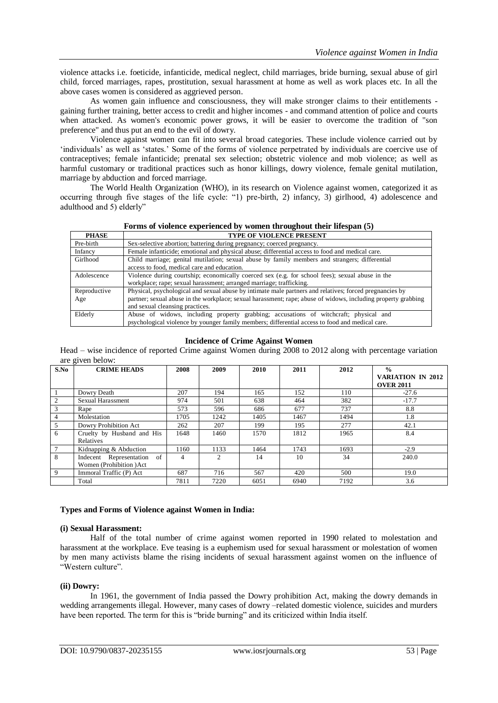violence attacks i.e. foeticide, infanticide, medical neglect, child marriages, bride burning, sexual abuse of girl child, forced marriages, rapes, prostitution, sexual harassment at home as well as work places etc. In all the above cases women is considered as aggrieved person.

As women gain influence and consciousness, they will make stronger claims to their entitlements gaining further training, better access to credit and higher incomes - and command attention of police and courts when attacked. As women's economic power grows, it will be easier to overcome the tradition of "son preference" and thus put an end to the evil of dowry.

Violence against women can fit into several broad categories. These include violence carried out by "individuals" as well as "states." Some of the forms of violence perpetrated by individuals are coercive use of contraceptives; [female infanticide;](http://en.wikipedia.org/wiki/Female_infanticide) [prenatal sex selection;](http://en.wikipedia.org/wiki/Sex_selective_abortion) obstetric violence and [mob violence;](http://en.wikipedia.org/wiki/Mob_violence) as well as harmful customary or traditional practices such as [honor killings,](http://en.wikipedia.org/wiki/Honor_killings) [dowry violence,](http://en.wikipedia.org/wiki/Dowry_death) [female genital mutilation,](http://en.wikipedia.org/wiki/Female_genital_mutilation) [marriage by abduction](http://en.wikipedia.org/wiki/Marriage_by_abduction) an[d forced marriage.](http://en.wikipedia.org/wiki/Forced_marriage)

The [World Health Organization](http://en.wikipedia.org/wiki/World_Health_Organization) (WHO), in its research on Violence against women, categorized it as occurring through five stages of the life cycle: "1) pre-birth, 2) infancy, 3) girlhood, 4) adolescence and adulthood and 5) elderly"

|  | Forms of violence experienced by women throughout their lifespan (5) |  |
|--|----------------------------------------------------------------------|--|
|  |                                                                      |  |

| <b>PHASE</b> | <b>TYPE OF VIOLENCE PRESENT</b>                                                                               |
|--------------|---------------------------------------------------------------------------------------------------------------|
| Pre-birth    | Sex-selective abortion; battering during pregnancy; coerced pregnancy.                                        |
| Infancy      | Female infanticide; emotional and physical abuse; differential access to food and medical care.               |
| Girlhood     | Child marriage; genital mutilation; sexual abuse by family members and strangers; differential                |
|              | access to food, medical care and education.                                                                   |
| Adolescence  | Violence during courtship; economically coerced sex (e.g. for school fees); sexual abuse in the               |
|              | workplace; rape; sexual harassment; arranged marriage; trafficking.                                           |
| Reproductive | Physical, psychological and sexual abuse by intimate male partners and relatives; forced pregnancies by       |
| Age          | partner; sexual abuse in the workplace; sexual harassment; rape; abuse of widows, including property grabbing |
|              | and sexual cleansing practices.                                                                               |
| Elderly      | Abuse of widows, including property grabbing; accusations of witchcraft; physical and                         |
|              | psychological violence by younger family members; differential access to food and medical care.               |

## **Incidence of Crime Against Women**

Head – wise incidence of reported Crime against Women during 2008 to 2012 along with percentage variation are given below:

| S.No            | $\circ$<br><b>CRIME HEADS</b>                            | 2008 | 2009 | 2010 | 2011 | 2012 | $\frac{0}{0}$                         |
|-----------------|----------------------------------------------------------|------|------|------|------|------|---------------------------------------|
|                 |                                                          |      |      |      |      |      | VARIATION IN 2012<br><b>OVER 2011</b> |
|                 | Dowry Death                                              | 207  | 194  | 165  | 152  | 110  | $-27.6$                               |
| 2               | Sexual Harassment                                        | 974  | 501  | 638  | 464  | 382  | $-17.7$                               |
| 3               | Rape                                                     | 573  | 596  | 686  | 677  | 737  | 8.8                                   |
| $\overline{4}$  | Molestation                                              | 1705 | 1242 | 1405 | 1467 | 1494 | 1.8                                   |
| 5               | Dowry Prohibition Act                                    | 262  | 207  | 199  | 195  | 277  | 42.1                                  |
| 6               | Cruelty by Husband and His<br>Relatives                  | 1648 | 1460 | 1570 | 1812 | 1965 | 8.4                                   |
| $7\overline{ }$ | Kidnapping & Abduction                                   | 1160 | 1133 | 1464 | 1743 | 1693 | $-2.9$                                |
| 8               | Indecent Representation<br>of<br>Women (Prohibition) Act | 4    | 2    | 14   | 10   | 34   | 240.0                                 |
| - 9             | Immoral Traffic (P) Act                                  | 687  | 716  | 567  | 420  | 500  | 19.0                                  |
|                 | Total                                                    | 7811 | 7220 | 6051 | 6940 | 7192 | 3.6                                   |

#### **Types and Forms of Violence against Women in India:**

#### **(i) Sexual Harassment:**

Half of the total number of crime against women reported in 1990 related to molestation and harassment at the workplace. Eve teasing is a euphemism used for sexual harassment or molestation of women by men many activists blame the rising incidents of sexual harassment against women on the influence of "Western culture".

## **(ii) Dowry:**

In 1961, the government of India passed the Dowry prohibition Act, making the dowry demands in wedding arrangements illegal. However, many cases of dowry –related domestic violence, suicides and murders have been reported. The term for this is "bride burning" and its criticized within India itself.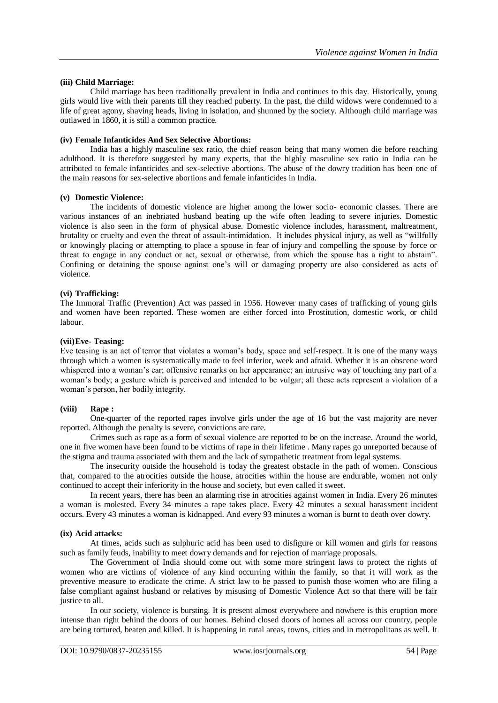#### **(iii) Child Marriage:**

Child marriage has been traditionally prevalent in India and continues to this day. Historically, young girls would live with their parents till they reached puberty. In the past, the child widows were condemned to a life of great agony, shaving heads, living in isolation, and shunned by the society. Although child marriage was outlawed in 1860, it is still a common practice.

#### **(iv) Female Infanticides And Sex Selective Abortions:**

India has a highly masculine sex ratio, the chief reason being that many women die before reaching adulthood. It is therefore suggested by many experts, that the highly masculine sex ratio in India can be attributed to female infanticides and sex-selective abortions. The abuse of the dowry tradition has been one of the main reasons for sex-selective abortions and female infanticides in India.

#### **(v) Domestic Violence:**

The incidents of domestic violence are higher among the lower socio- economic classes. There are various instances of an inebriated husband beating up the wife often leading to severe injuries. Domestic violence is also seen in the form of physical abuse. Domestic violence includes, harassment, maltreatment, brutality or cruelty and even the threat of assault-intimidation. It includes physical injury, as well as "willfully or knowingly placing or attempting to place a spouse in fear of injury and compelling the spouse by force or threat to engage in any conduct or act, sexual or otherwise, from which the spouse has a right to abstain". Confining or detaining the spouse against one"s will or damaging property are also considered as acts of violence.

#### **(vi) Trafficking:**

The Immoral Traffic (Prevention) Act was passed in 1956. However many cases of trafficking of young girls and women have been reported. These women are either forced into Prostitution, domestic work, or child labour.

#### **(vii)Eve- Teasing:**

Eve teasing is an act of terror that violates a woman"s body, space and self-respect. It is one of the many ways through which a women is systematically made to feel inferior, week and afraid. Whether it is an obscene word whispered into a woman's ear; offensive remarks on her appearance; an intrusive way of touching any part of a woman"s body; a gesture which is perceived and intended to be vulgar; all these acts represent a violation of a woman"s person, her bodily integrity.

#### **(viii) Rape :**

One-quarter of the reported rapes involve girls under the age of 16 but the vast majority are never reported. Although the penalty is severe, convictions are rare.

Crimes such as rape as a form of sexual violence are reported to be on the increase. Around the world, one in five women have been found to be victims of rape in their lifetime . Many rapes go unreported because of the stigma and trauma associated with them and the lack of sympathetic treatment from legal systems.

The insecurity outside the household is today the greatest obstacle in the path of women. Conscious that, compared to the atrocities outside the house, atrocities within the house are endurable, women not only continued to accept their inferiority in the house and society, but even called it sweet.

In recent years, there has been an alarming rise in atrocities against women in India. Every 26 minutes a woman is molested. Every 34 minutes a rape takes place. Every 42 minutes a sexual harassment incident occurs. Every 43 minutes a woman is kidnapped. And every 93 minutes a woman is burnt to death over dowry.

#### **(ix) Acid attacks:**

At times, acids such as sulphuric acid has been used to disfigure or kill women and girls for reasons such as family feuds, inability to meet dowry demands and for rejection of marriage proposals.

The Government of India should come out with some more stringent laws to protect the rights of women who are victims of violence of any kind occurring within the family, so that it will work as the preventive measure to eradicate the crime. A strict law to be passed to punish those women who are filing a false compliant against husband or relatives by misusing of Domestic Violence Act so that there will be fair justice to all.

In our society, violence is bursting. It is present almost everywhere and nowhere is this eruption more intense than right behind the doors of our homes. Behind closed doors of homes all across our country, people are being tortured, beaten and killed. It is happening in rural areas, towns, cities and in metropolitans as well. It